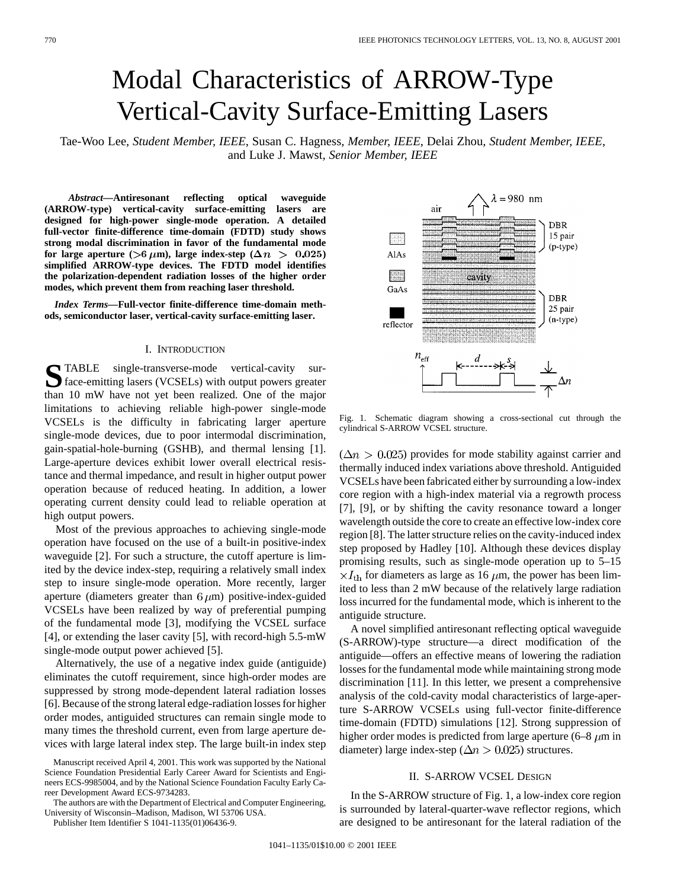# Modal Characteristics of ARROW-Type Vertical-Cavity Surface-Emitting Lasers

Tae-Woo Lee*, Student Member, IEEE*, Susan C. Hagness*, Member, IEEE*, Delai Zhou*, Student Member, IEEE*, and Luke J. Mawst*, Senior Member, IEEE*

*Abstract—***Antiresonant reflecting optical waveguide (ARROW-type) vertical-cavity surface-emitting lasers are designed for high-power single-mode operation. A detailed full-vector finite-difference time-domain (FDTD) study shows strong modal discrimination in favor of the fundamental mode for large aperture** ( $>6 \mu$ m), large index-step ( $\Delta n > 0.025$ ) **simplified ARROW-type devices. The FDTD model identifies the polarization-dependent radiation losses of the higher order modes, which prevent them from reaching laser threshold.**

*Index Terms—***Full-vector finite-difference time-domain methods, semiconductor laser, vertical-cavity surface-emitting laser.**

## I. INTRODUCTION

STABLE single-transverse-mode vertical-cavity sur-<br>face-emitting lasers (VCSELs) with output powers greater than 10 mW have not yet been realized. One of the major limitations to achieving reliable high-power single-mode VCSELs is the difficulty in fabricating larger aperture single-mode devices, due to poor intermodal discrimination, gain-spatial-hole-burning (GSHB), and thermal lensing [1]. Large-aperture devices exhibit lower overall electrical resistance and thermal impedance, and result in higher output power operation because of reduced heating. In addition, a lower operating current density could lead to reliable operation at high output powers.

Most of the previous approaches to achieving single-mode operation have focused on the use of a built-in positive-index waveguide [2]. For such a structure, the cutoff aperture is limited by the device index-step, requiring a relatively small index step to insure single-mode operation. More recently, larger aperture (diameters greater than  $6 \mu m$ ) positive-index-guided VCSELs have been realized by way of preferential pumping of the fundamental mode [3], modifying the VCSEL surface [4], or extending the laser cavity [5], with record-high 5.5-mW single-mode output power achieved [5].

Alternatively, the use of a negative index guide (antiguide) eliminates the cutoff requirement, since high-order modes are suppressed by strong mode-dependent lateral radiation losses [6]. Because of the strong lateral edge-radiation losses for higher order modes, antiguided structures can remain single mode to many times the threshold current, even from large aperture devices with large lateral index step. The large built-in index step

The authors are with the Department of Electrical and Computer Engineering, University of Wisconsin–Madison, Madison, WI 53706 USA.

Publisher Item Identifier S 1041-1135(01)06436-9.



Fig. 1. Schematic diagram showing a cross-sectional cut through the cylindrical S-ARROW VCSEL structure.

 $(\Delta n > 0.025)$  provides for mode stability against carrier and thermally induced index variations above threshold. Antiguided VCSELs have been fabricated either by surrounding a low-index core region with a high-index material via a regrowth process [7], [9], or by shifting the cavity resonance toward a longer wavelength outside the core to create an effective low-index core region [8]. The latter structure relies on the cavity-induced index step proposed by Hadley [10]. Although these devices display promising results, such as single-mode operation up to 5–15  $\times I_{\text{th}}$  for diameters as large as 16  $\mu$ m, the power has been limited to less than 2 mW because of the relatively large radiation loss incurred for the fundamental mode, which is inherent to the antiguide structure.

A novel simplified antiresonant reflecting optical waveguide (S-ARROW)-type structure—a direct modification of the antiguide—offers an effective means of lowering the radiation losses for the fundamental mode while maintaining strong mode discrimination [11]. In this letter, we present a comprehensive analysis of the cold-cavity modal characteristics of large-aperture S-ARROW VCSELs using full-vector finite-difference time-domain (FDTD) simulations [12]. Strong suppression of higher order modes is predicted from large aperture  $(6-8 \mu m)$  in diameter) large index-step ( $\Delta n > 0.025$ ) structures.

# II. S-ARROW VCSEL DESIGN

In the S-ARROW structure of Fig. 1, a low-index core region is surrounded by lateral-quarter-wave reflector regions, which are designed to be antiresonant for the lateral radiation of the

Manuscript received April 4, 2001. This work was supported by the National Science Foundation Presidential Early Career Award for Scientists and Engineers ECS-9985004, and by the National Science Foundation Faculty Early Career Development Award ECS-9734283.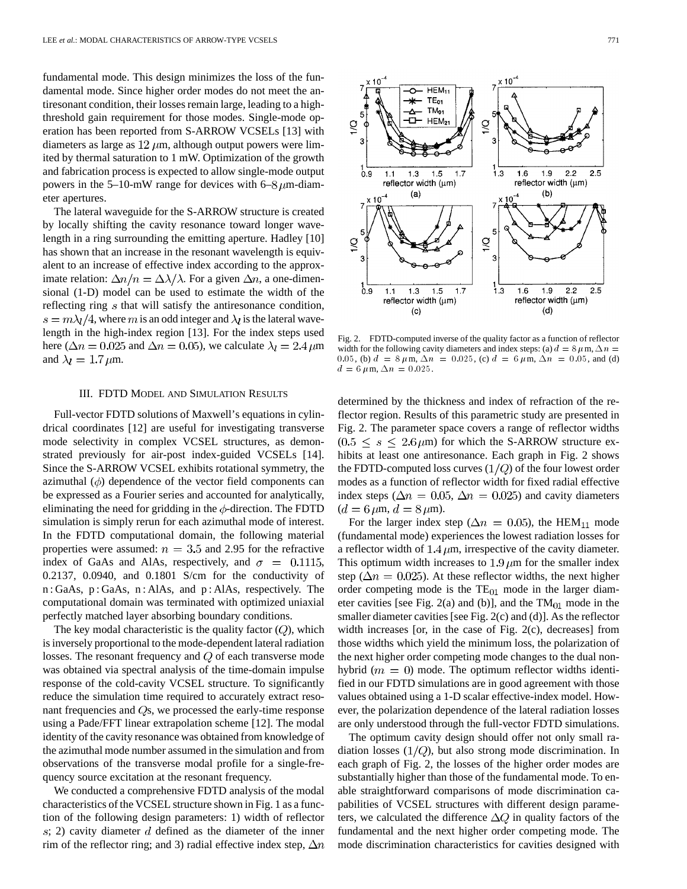fundamental mode. This design minimizes the loss of the fundamental mode. Since higher order modes do not meet the antiresonant condition, their losses remain large, leading to a highthreshold gain requirement for those modes. Single-mode operation has been reported from S-ARROW VCSELs [13] with diameters as large as  $12 \mu m$ , although output powers were limited by thermal saturation to 1 mW. Optimization of the growth and fabrication process is expected to allow single-mode output powers in the 5–10-mW range for devices with 6–8 $\mu$ m-diameter apertures.

The lateral waveguide for the S-ARROW structure is created by locally shifting the cavity resonance toward longer wavelength in a ring surrounding the emitting aperture. Hadley [10] has shown that an increase in the resonant wavelength is equivalent to an increase of effective index according to the approximate relation:  $\Delta n/n = \Delta \lambda / \lambda$ . For a given  $\Delta n$ , a one-dimensional (1-D) model can be used to estimate the width of the reflecting ring  $s$  that will satisfy the antiresonance condition,  $s = m\lambda_l/4$ , where m is an odd integer and  $\lambda_l$  is the lateral wavelength in the high-index region [13]. For the index steps used here ( $\Delta n = 0.025$  and  $\Delta n = 0.05$ ), we calculate  $\lambda_l = 2.4 \,\mu$ m and  $\lambda_l = 1.7 \,\mu$ m.

# III. FDTD MODEL AND SIMULATION RESULTS

Full-vector FDTD solutions of Maxwell's equations in cylindrical coordinates [12] are useful for investigating transverse mode selectivity in complex VCSEL structures, as demonstrated previously for air-post index-guided VCSELs [14]. Since the S-ARROW VCSEL exhibits rotational symmetry, the azimuthal  $(\phi)$  dependence of the vector field components can be expressed as a Fourier series and accounted for analytically, eliminating the need for gridding in the  $\phi$ -direction. The FDTD simulation is simply rerun for each azimuthal mode of interest. In the FDTD computational domain, the following material properties were assumed:  $n = 3.5$  and 2.95 for the refractive index of GaAs and AlAs, respectively, and  $\sigma = 0.1115$ , 0.2137, 0.0940, and 0.1801 S/cm for the conductivity of n : GaAs, p : GaAs, n : AlAs, and p : AlAs, respectively. The computational domain was terminated with optimized uniaxial perfectly matched layer absorbing boundary conditions.

The key modal characteristic is the quality factor  $(Q)$ , which is inversely proportional to the mode-dependent lateral radiation losses. The resonant frequency and  $Q$  of each transverse mode was obtained via spectral analysis of the time-domain impulse response of the cold-cavity VCSEL structure. To significantly reduce the simulation time required to accurately extract resonant frequencies and  $Q_s$ , we processed the early-time response using a Pade/FFT linear extrapolation scheme [12]. The modal identity of the cavity resonance was obtained from knowledge of the azimuthal mode number assumed in the simulation and from observations of the transverse modal profile for a single-frequency source excitation at the resonant frequency.

We conducted a comprehensive FDTD analysis of the modal characteristics of the VCSEL structure shown in Fig. 1 as a function of the following design parameters: 1) width of reflector  $s$ ; 2) cavity diameter d defined as the diameter of the inner rim of the reflector ring; and 3) radial effective index step,  $\Delta n$ 



Fig. 2. FDTD-computed inverse of the quality factor as a function of reflector width for the following cavity diameters and index steps: (a)  $d = 8 \mu \text{m}, \Delta n =$ 0.05, (b)  $d = 8 \mu \text{m}$ ,  $\Delta n = 0.025$ , (c)  $d = 6 \mu \text{m}$ ,  $\Delta n = 0.05$ , and (d)  $d = 6 \,\mu \mathrm{m}, \Delta n = 0.025.$ 

determined by the thickness and index of refraction of the reflector region. Results of this parametric study are presented in Fig. 2. The parameter space covers a range of reflector widths  $(0.5 \leq s \leq 2.6 \,\mu\text{m})$  for which the S-ARROW structure exhibits at least one antiresonance. Each graph in Fig. 2 shows the FDTD-computed loss curves  $(1/Q)$  of the four lowest order modes as a function of reflector width for fixed radial effective index steps ( $\Delta n = 0.05$ ,  $\Delta n = 0.025$ ) and cavity diameters  $(d = 6 \,\mu\text{m}, d = 8 \,\mu\text{m}).$ 

For the larger index step ( $\Delta n = 0.05$ ), the HEM<sub>11</sub> mode (fundamental mode) experiences the lowest radiation losses for a reflector width of  $1.4 \mu m$ , irrespective of the cavity diameter. This optimum width increases to  $1.9 \mu m$  for the smaller index step ( $\Delta n = 0.025$ ). At these reflector widths, the next higher order competing mode is the  $TE_{01}$  mode in the larger diameter cavities [see Fig. 2(a) and (b)], and the  $TM_{01}$  mode in the smaller diameter cavities [see Fig. 2(c) and (d)]. As the reflector width increases [or, in the case of Fig. 2(c), decreases] from those widths which yield the minimum loss, the polarization of the next higher order competing mode changes to the dual nonhybrid ( $m = 0$ ) mode. The optimum reflector widths identified in our FDTD simulations are in good agreement with those values obtained using a 1-D scalar effective-index model. However, the polarization dependence of the lateral radiation losses are only understood through the full-vector FDTD simulations.

The optimum cavity design should offer not only small radiation losses  $(1/Q)$ , but also strong mode discrimination. In each graph of Fig. 2, the losses of the higher order modes are substantially higher than those of the fundamental mode. To enable straightforward comparisons of mode discrimination capabilities of VCSEL structures with different design parameters, we calculated the difference  $\Delta Q$  in quality factors of the fundamental and the next higher order competing mode. The mode discrimination characteristics for cavities designed with